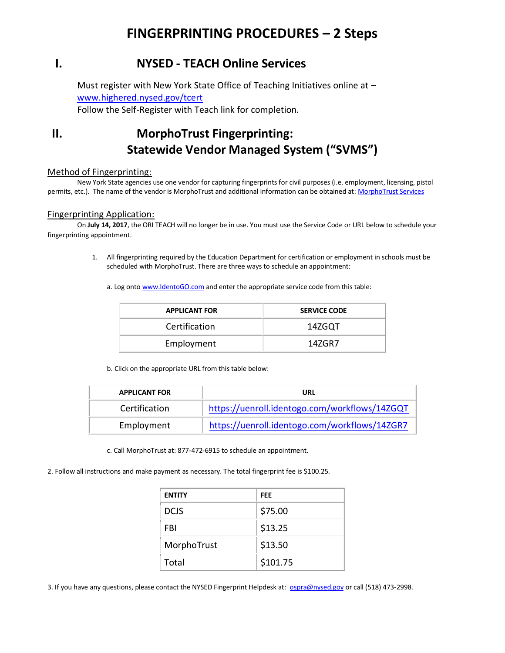# **FINGERPRINTING PROCEDURES – 2 Steps**

### **I. NYSED - TEACH Online Services**

Must register with New York State Office of Teaching Initiatives online at – [www.highered.nysed.gov/tcert](http://www.highered.nysed.gov/tcert) Follow the Self-Register with Teach link for completion.

## **II. MorphoTrust Fingerprinting: Statewide Vendor Managed System ("SVMS")**

#### Method of Fingerprinting:

New York State agencies use one vendor for capturing fingerprints for civil purposes (i.e. employment, licensing, pistol permits, etc.). The name of the vendor is MorphoTrust and additional information can be obtained at: [MorphoTrust Services](https://www.identogo.com/)

#### Fingerprinting Application:

On **July 14, 2017**, the ORI TEACH will no longer be in use. You must use the Service Code or URL below to schedule your fingerprinting appointment.

> 1. All fingerprinting required by the Education Department for certification or employment in schools must be scheduled with MorphoTrust. There are three ways to schedule an appointment:

a. Log onto [www.IdentoGO.com](http://www.identogo.com/) and enter the appropriate service code from this table:

| <b>APPLICANT FOR</b> | <b>SERVICE CODE</b> |
|----------------------|---------------------|
| <b>Certification</b> | 14ZGOT              |
| Employment           | 14ZGR7              |

b. Click on the appropriate URL from this table below:

| <b>APPLICANT FOR</b> | URL                                           |
|----------------------|-----------------------------------------------|
| Certification        | https://uenroll.identogo.com/workflows/14ZGQT |
| Employment           | https://uenroll.identogo.com/workflows/14ZGR7 |

c. Call MorphoTrust at: 877-472-6915 to schedule an appointment.

2. Follow all instructions and make payment as necessary. The total fingerprint fee is \$100.25.

| <b>ENTITY</b> | FEE      |
|---------------|----------|
| <b>DCJS</b>   | \$75.00  |
| FBI           | \$13.25  |
| MorphoTrust   | \$13.50  |
| Total         | \$101.75 |

3. If you have any questions, please contact the NYSED Fingerprint Helpdesk at: [ospra@nysed.gov](mailto:ospra@nysed.gov) or call (518) 473-2998.